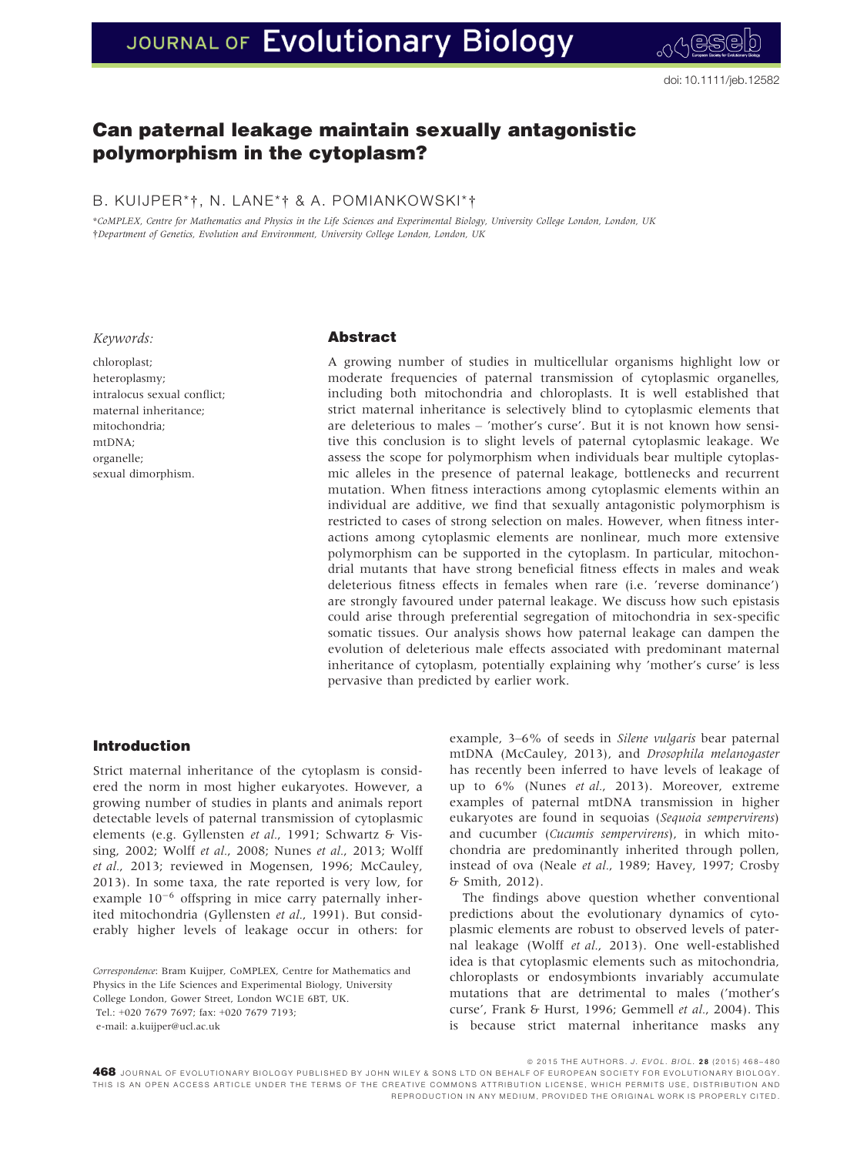# JOURNAL OF Evolutionary Biology

## Can paternal leakage maintain sexually antagonistic polymorphism in the cytoplasm?

### B. KUIJPER\*†, N. LANE\*† & A. POMIANKOWSKI\*†

\*CoMPLEX, Centre for Mathematics and Physics in the Life Sciences and Experimental Biology, University College London, London, UK †Department of Genetics, Evolution and Environment, University College London, London, UK

#### Keywords:

chloroplast; heteroplasmy; intralocus sexual conflict; maternal inheritance; mitochondria; mtDNA; organelle; sexual dimorphism.

#### Abstract

A growing number of studies in multicellular organisms highlight low or moderate frequencies of paternal transmission of cytoplasmic organelles, including both mitochondria and chloroplasts. It is well established that strict maternal inheritance is selectively blind to cytoplasmic elements that are deleterious to males – 'mother's curse'. But it is not known how sensitive this conclusion is to slight levels of paternal cytoplasmic leakage. We assess the scope for polymorphism when individuals bear multiple cytoplasmic alleles in the presence of paternal leakage, bottlenecks and recurrent mutation. When fitness interactions among cytoplasmic elements within an individual are additive, we find that sexually antagonistic polymorphism is restricted to cases of strong selection on males. However, when fitness interactions among cytoplasmic elements are nonlinear, much more extensive polymorphism can be supported in the cytoplasm. In particular, mitochondrial mutants that have strong beneficial fitness effects in males and weak deleterious fitness effects in females when rare (i.e. 'reverse dominance') are strongly favoured under paternal leakage. We discuss how such epistasis could arise through preferential segregation of mitochondria in sex-specific somatic tissues. Our analysis shows how paternal leakage can dampen the evolution of deleterious male effects associated with predominant maternal inheritance of cytoplasm, potentially explaining why 'mother's curse' is less pervasive than predicted by earlier work.

#### Introduction

Strict maternal inheritance of the cytoplasm is considered the norm in most higher eukaryotes. However, a growing number of studies in plants and animals report detectable levels of paternal transmission of cytoplasmic elements (e.g. Gyllensten et al., 1991; Schwartz & Vissing, 2002; Wolff et al., 2008; Nunes et al., 2013; Wolff et al., 2013; reviewed in Mogensen, 1996; McCauley, 2013). In some taxa, the rate reported is very low, for example  $10^{-6}$  offspring in mice carry paternally inherited mitochondria (Gyllensten et al., 1991). But considerably higher levels of leakage occur in others: for

Correspondence: Bram Kuijper, CoMPLEX, Centre for Mathematics and Physics in the Life Sciences and Experimental Biology, University College London, Gower Street, London WC1E 6BT, UK. Tel.: +020 7679 7697; fax: +020 7679 7193; e-mail: a.kuijper@ucl.ac.uk

example, 3–6% of seeds in Silene vulgaris bear paternal mtDNA (McCauley, 2013), and Drosophila melanogaster has recently been inferred to have levels of leakage of up to 6% (Nunes et al., 2013). Moreover, extreme examples of paternal mtDNA transmission in higher eukaryotes are found in sequoias (Sequoia sempervirens) and cucumber (Cucumis sempervirens), in which mitochondria are predominantly inherited through pollen, instead of ova (Neale et al., 1989; Havey, 1997; Crosby & Smith, 2012).

The findings above question whether conventional predictions about the evolutionary dynamics of cytoplasmic elements are robust to observed levels of paternal leakage (Wolff et al., 2013). One well-established idea is that cytoplasmic elements such as mitochondria, chloroplasts or endosymbionts invariably accumulate mutations that are detrimental to males ('mother's curse', Frank & Hurst, 1996; Gemmell et al., 2004). This is because strict maternal inheritance masks any

0015 THE AUTHORS. *J. EVOL. BIOL. 28 (*2015) 468–480.<br>A **468** JOURNAL OF EVOLUTIONARY BIOLOGY. PUBLISHED BY JOHN WILEY & SONS LTD ON BEHALF OF EUROPEAN SOCIETY FOR EVOLUTIONARY BIOLOGY. THIS IS AN OPEN ACCESS ARTICLE UNDER THE TERMS OF THE CREATIVE CO[MMONS ATTRIBUTION](http://creativecommons.org/licenses/by/4.0/) LICENSE, WHICH PERMITS USE, DISTRIBUTION AND REPRODUCTION IN ANY MEDIUM, PROVIDED THE ORIGINAL WORK IS PROPERLY CITED.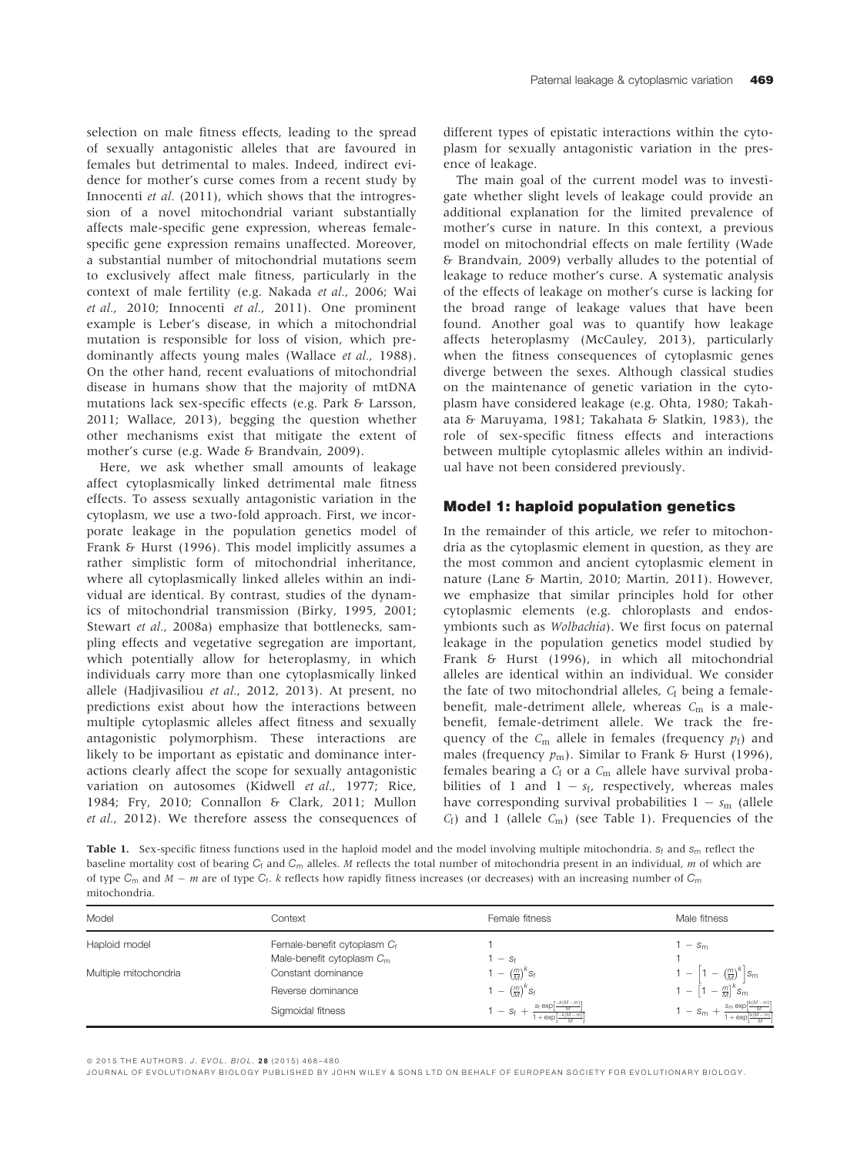selection on male fitness effects, leading to the spread of sexually antagonistic alleles that are favoured in females but detrimental to males. Indeed, indirect evidence for mother's curse comes from a recent study by Innocenti et al. (2011), which shows that the introgression of a novel mitochondrial variant substantially affects male-specific gene expression, whereas femalespecific gene expression remains unaffected. Moreover, a substantial number of mitochondrial mutations seem to exclusively affect male fitness, particularly in the context of male fertility (e.g. Nakada et al., 2006; Wai et al., 2010; Innocenti et al., 2011). One prominent example is Leber's disease, in which a mitochondrial mutation is responsible for loss of vision, which predominantly affects young males (Wallace et al., 1988). On the other hand, recent evaluations of mitochondrial disease in humans show that the majority of mtDNA mutations lack sex-specific effects (e.g. Park & Larsson, 2011; Wallace, 2013), begging the question whether other mechanisms exist that mitigate the extent of mother's curse (e.g. Wade & Brandvain, 2009).

Here, we ask whether small amounts of leakage affect cytoplasmically linked detrimental male fitness effects. To assess sexually antagonistic variation in the cytoplasm, we use a two-fold approach. First, we incorporate leakage in the population genetics model of Frank & Hurst (1996). This model implicitly assumes a rather simplistic form of mitochondrial inheritance, where all cytoplasmically linked alleles within an individual are identical. By contrast, studies of the dynamics of mitochondrial transmission (Birky, 1995, 2001; Stewart et al., 2008a) emphasize that bottlenecks, sampling effects and vegetative segregation are important, which potentially allow for heteroplasmy, in which individuals carry more than one cytoplasmically linked allele (Hadjivasiliou et al., 2012, 2013). At present, no predictions exist about how the interactions between multiple cytoplasmic alleles affect fitness and sexually antagonistic polymorphism. These interactions are likely to be important as epistatic and dominance interactions clearly affect the scope for sexually antagonistic variation on autosomes (Kidwell et al., 1977; Rice, 1984; Fry, 2010; Connallon & Clark, 2011; Mullon et al., 2012). We therefore assess the consequences of

different types of epistatic interactions within the cytoplasm for sexually antagonistic variation in the presence of leakage.

The main goal of the current model was to investigate whether slight levels of leakage could provide an additional explanation for the limited prevalence of mother's curse in nature. In this context, a previous model on mitochondrial effects on male fertility (Wade & Brandvain, 2009) verbally alludes to the potential of leakage to reduce mother's curse. A systematic analysis of the effects of leakage on mother's curse is lacking for the broad range of leakage values that have been found. Another goal was to quantify how leakage affects heteroplasmy (McCauley, 2013), particularly when the fitness consequences of cytoplasmic genes diverge between the sexes. Although classical studies on the maintenance of genetic variation in the cytoplasm have considered leakage (e.g. Ohta, 1980; Takahata & Maruyama, 1981; Takahata & Slatkin, 1983), the role of sex-specific fitness effects and interactions between multiple cytoplasmic alleles within an individual have not been considered previously.

#### Model 1: haploid population genetics

In the remainder of this article, we refer to mitochondria as the cytoplasmic element in question, as they are the most common and ancient cytoplasmic element in nature (Lane & Martin, 2010; Martin, 2011). However, we emphasize that similar principles hold for other cytoplasmic elements (e.g. chloroplasts and endosymbionts such as Wolbachia). We first focus on paternal leakage in the population genetics model studied by Frank & Hurst (1996), in which all mitochondrial alleles are identical within an individual. We consider the fate of two mitochondrial alleles,  $C_f$  being a femalebenefit, male-detriment allele, whereas  $C_m$  is a malebenefit, female-detriment allele. We track the frequency of the  $C_m$  allele in females (frequency  $p_f$ ) and males (frequency  $p_m$ ). Similar to Frank & Hurst (1996), females bearing a  $C_f$  or a  $C_m$  allele have survival probabilities of 1 and  $1 - s_f$ , respectively, whereas males have corresponding survival probabilities  $1 - s<sub>m</sub>$  (allele  $C_f$ ) and 1 (allele  $C_m$ ) (see Table 1). Frequencies of the

Table 1. Sex-specific fitness functions used in the haploid model and the model involving multiple mitochondria.  $s_f$  and  $s_m$  reflect the baseline mortality cost of bearing  $C_f$  and  $C_m$  alleles. M reflects the total number of mitochondria present in an individual, m of which are of type  $C_m$  and  $M - m$  are of type  $C_f$ . k reflects how rapidly fitness increases (or decreases) with an increasing number of  $C_m$ mitochondria.

| Model                 | Context                     | Female fitness                       | Male fitness                                                   |
|-----------------------|-----------------------------|--------------------------------------|----------------------------------------------------------------|
| Haploid model         | Female-benefit cytoplasm Cf |                                      | $- S_{m}$                                                      |
|                       | Male-benefit cytoplasm $Cm$ | $-Sf$                                |                                                                |
| Multiple mitochondria | Constant dominance          | $= \left(\frac{m}{M}\right)^{K} S_f$ | $\left(\frac{m}{M}\right)^k$<br>`∣Sm                           |
|                       | Reverse dominance           | 1 – $\left(\frac{m}{M}\right)^k S_f$ | $-\frac{m}{M}$ <sup>k</sup> S <sub>m</sub><br>$\hspace{0.1mm}$ |
|                       | Sigmoidal fitness           | $-Sf$                                | $s_{m}$ exp<br>$S_m +$<br>$\overline{\phantom{a}}$             |

ª 2015 THE AUTHORS. J. EVOL. BIOL. 2 8 (2015) 468–480

JOURNAL OF EVOLUTIONARY BIOLOGY PUBLISHED BY JOHN WILEY & SONS L TD ON BEHALF OF EUROPEAN SOCIETY FOR EVOLUTIONARY BIOLOGY.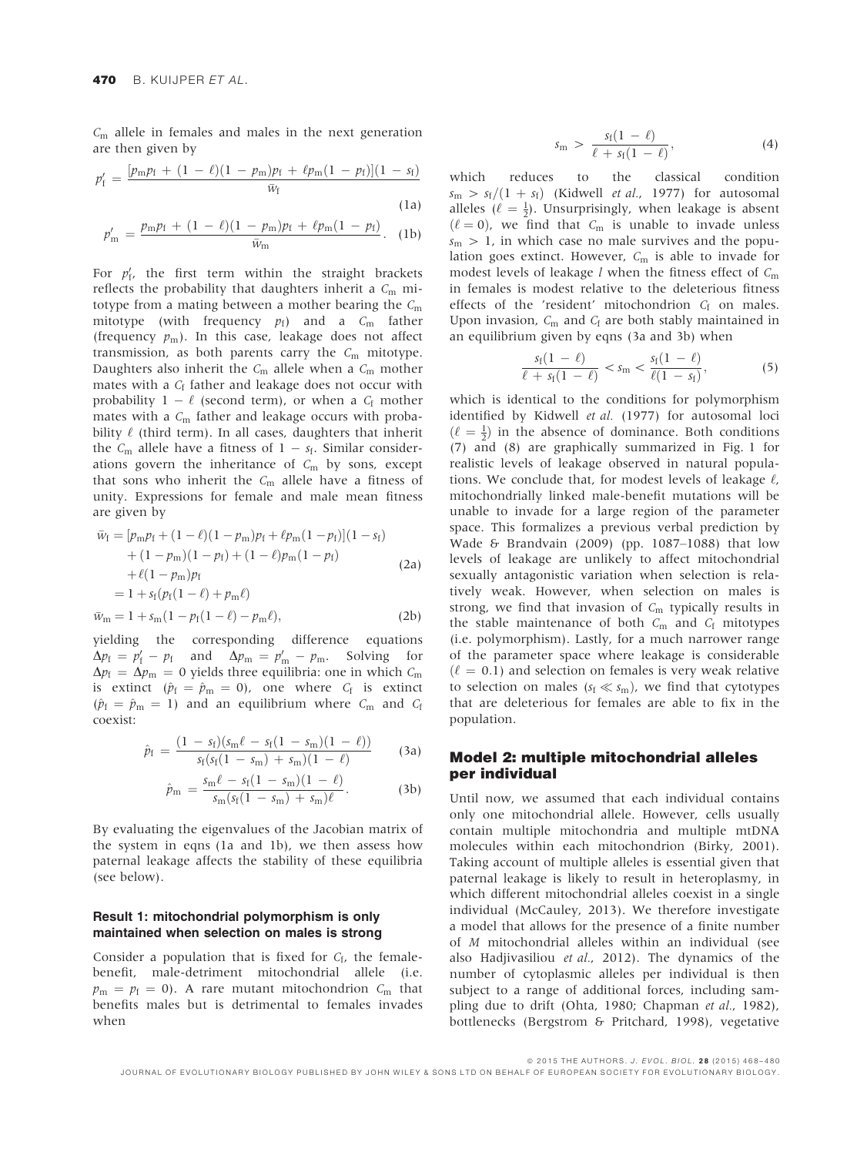$C<sub>m</sub>$  allele in females and males in the next generation are then given by

$$
p_{\rm f}' = \frac{[p_{\rm m}p_{\rm f} + (1 - \ell)(1 - p_{\rm m})p_{\rm f} + \ell p_{\rm m}(1 - p_{\rm f})](1 - s_{\rm f})}{\bar{w}_{\rm f}}
$$
(1a)

$$
p_m' = \frac{p_m p_f + (1 - \ell)(1 - p_m)p_f + \ell p_m(1 - p_f)}{\bar{w}_m}.
$$
 (1b)

For  $p'_{f}$ , the first term within the straight brackets reflects the probability that daughters inherit a  $C<sub>m</sub>$  mitotype from a mating between a mother bearing the  $C<sub>m</sub>$ mitotype (with frequency  $p_f$ ) and a  $C_m$  father (frequency  $p_m$ ). In this case, leakage does not affect transmission, as both parents carry the  $C_m$  mitotype. Daughters also inherit the  $C_m$  allele when a  $C_m$  mother mates with a  $C_f$  father and leakage does not occur with probability  $1 - \ell$  (second term), or when a  $C_f$  mother mates with a  $C_m$  father and leakage occurs with probability  $\ell$  (third term). In all cases, daughters that inherit the  $C_m$  allele have a fitness of  $1 - s_f$ . Similar considerations govern the inheritance of  $C_m$  by sons, except that sons who inherit the  $C<sub>m</sub>$  allele have a fitness of unity. Expressions for female and male mean fitness are given by

$$
\bar{w}_{f} = [p_{m}p_{f} + (1 - \ell)(1 - p_{m})p_{f} + \ell p_{m}(1 - p_{f})](1 - s_{f}) \n+ (1 - p_{m})(1 - p_{f}) + (1 - \ell)p_{m}(1 - p_{f}) \n+ \ell(1 - p_{m})p_{f} \n= 1 + s_{f}(p_{f}(1 - \ell) + p_{m}\ell) \n\bar{w}_{m} = 1 + s_{m}(1 - p_{f}(1 - \ell) - p_{m}\ell),
$$
\n(2b)

yielding the corresponding difference equations  
\n
$$
\Delta p_{\rm f} = p_{\rm f}' - p_{\rm f}
$$
 and  $\Delta p_{\rm m} = p_{\rm m}' - p_{\rm m}$ . Solving for  
\n $\Delta p_{\rm f} = \Delta p_{\rm m} = 0$  yields three equilibria: one in which  $C_{\rm m}$   
\nis extinct ( $\hat{p}_{\rm f} = \hat{p}_{\rm m} = 0$ ), one where  $C_{\rm f}$  is extinct  
\n( $\hat{p}_{\rm f} = \hat{p}_{\rm m} = 1$ ) and an equilibrium where  $C_{\rm m}$  and  $C_{\rm f}$ 

coexist:

$$
\hat{p}_{f} = \frac{(1 - s_{f})(s_{m}\ell - s_{f}(1 - s_{m})(1 - \ell))}{s_{f}(s_{f}(1 - s_{m}) + s_{m})(1 - \ell)}
$$
 (3a)

$$
\hat{p}_{\rm m} = \frac{s_{\rm m}\ell - s_{\rm f}(1 - s_{\rm m})(1 - \ell)}{s_{\rm m}(s_{\rm f}(1 - s_{\rm m}) + s_{\rm m})\ell}.
$$
 (3b)

By evaluating the eigenvalues of the Jacobian matrix of the system in eqns (1a and 1b), we then assess how paternal leakage affects the stability of these equilibria (see below).

#### Result 1: mitochondrial polymorphism is only maintained when selection on males is strong

Consider a population that is fixed for  $C_f$ , the femalebenefit, male-detriment mitochondrial allele (i.e.  $p_m = p_f = 0$ ). A rare mutant mitochondrion  $C_m$  that benefits males but is detrimental to females invades when

$$
s_{\rm m} > \frac{s_{\rm f}(1-\ell)}{\ell + s_{\rm f}(1-\ell)}, \qquad (4)
$$

which reduces to the classical condition  $s_m > s_f/(1 + s_f)$  (Kidwell *et al.*, 1977) for autosomal alleles ( $\ell = \frac{1}{2}$ ). Unsurprisingly, when leakage is absent  $(\ell = 0)$ , we find that  $C_m$  is unable to invade unless  $s_m > 1$ , in which case no male survives and the population goes extinct. However,  $C_m$  is able to invade for modest levels of leakage  $l$  when the fitness effect of  $C<sub>m</sub>$ in females is modest relative to the deleterious fitness effects of the 'resident' mitochondrion  $C_f$  on males. Upon invasion,  $C_m$  and  $C_f$  are both stably maintained in an equilibrium given by eqns (3a and 3b) when

$$
\frac{s_{\rm f}(1-\ell)}{\ell+s_{\rm f}(1-\ell)} < s_{\rm m} < \frac{s_{\rm f}(1-\ell)}{\ell(1-s_{\rm f})},\tag{5}
$$

which is identical to the conditions for polymorphism identified by Kidwell et al. (1977) for autosomal loci  $(\ell = \frac{1}{2})$  in the absence of dominance. Both conditions (7) and (8) are graphically summarized in Fig. 1 for realistic levels of leakage observed in natural populations. We conclude that, for modest levels of leakage  $\ell$ , mitochondrially linked male-benefit mutations will be unable to invade for a large region of the parameter space. This formalizes a previous verbal prediction by Wade & Brandvain (2009) (pp. 1087–1088) that low levels of leakage are unlikely to affect mitochondrial sexually antagonistic variation when selection is relatively weak. However, when selection on males is strong, we find that invasion of  $C<sub>m</sub>$  typically results in the stable maintenance of both  $C_m$  and  $C_f$  mitotypes (i.e. polymorphism). Lastly, for a much narrower range of the parameter space where leakage is considerable  $(\ell = 0.1)$  and selection on females is very weak relative to selection on males ( $s_f \ll s_m$ ), we find that cytotypes that are deleterious for females are able to fix in the population.

#### Model 2: multiple mitochondrial alleles per individual

Until now, we assumed that each individual contains only one mitochondrial allele. However, cells usually contain multiple mitochondria and multiple mtDNA molecules within each mitochondrion (Birky, 2001). Taking account of multiple alleles is essential given that paternal leakage is likely to result in heteroplasmy, in which different mitochondrial alleles coexist in a single individual (McCauley, 2013). We therefore investigate a model that allows for the presence of a finite number of M mitochondrial alleles within an individual (see also Hadjivasiliou et al., 2012). The dynamics of the number of cytoplasmic alleles per individual is then subject to a range of additional forces, including sampling due to drift (Ohta, 1980; Chapman et al., 1982), bottlenecks (Bergstrom & Pritchard, 1998), vegetative

ª 2015 THE AUTHORS. J. EVOL. BIOL. 2 8 (2015) 468–480

JOURNAL OF EVOLUTIONARY BIOLOGY PUBLISHED BY JOHN WILEY & SONS LTD ON BEHALF OF EUROPEAN SOCIETY FOR EVOLUTIONARY BIOLOGY.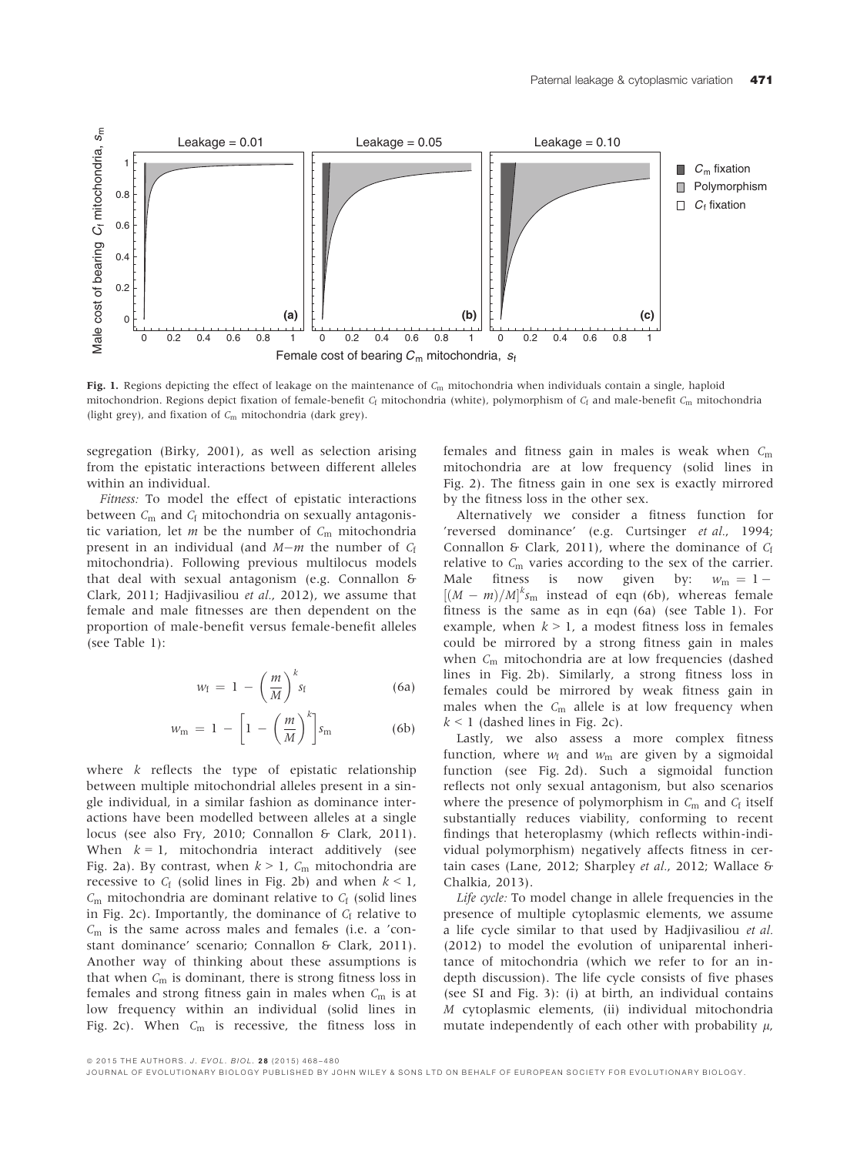

Fig. 1. Regions depicting the effect of leakage on the maintenance of  $C_m$  mitochondria when individuals contain a single, haploid mitochondrion. Regions depict fixation of female-benefit  $C_f$  mitochondria (white), polymorphism of  $C_f$  and male-benefit  $C_m$  mitochondria (light grey), and fixation of  $C_m$  mitochondria (dark grey).

segregation (Birky, 2001), as well as selection arising from the epistatic interactions between different alleles within an individual.

Fitness: To model the effect of epistatic interactions between  $C_m$  and  $C_f$  mitochondria on sexually antagonistic variation, let  $m$  be the number of  $C_m$  mitochondria present in an individual (and  $M-m$  the number of  $C_f$ mitochondria). Following previous multilocus models that deal with sexual antagonism (e.g. Connallon & Clark, 2011; Hadjivasiliou et al., 2012), we assume that female and male fitnesses are then dependent on the proportion of male-benefit versus female-benefit alleles (see Table 1):

$$
w_{\rm f} = 1 - \left(\frac{m}{M}\right)^k s_{\rm f} \tag{6a}
$$

$$
w_{\rm m} = 1 - \left[1 - \left(\frac{m}{M}\right)^k\right] s_{\rm m} \tag{6b}
$$

where  $k$  reflects the type of epistatic relationship between multiple mitochondrial alleles present in a single individual, in a similar fashion as dominance interactions have been modelled between alleles at a single locus (see also Fry, 2010; Connallon & Clark, 2011). When  $k = 1$ , mitochondria interact additively (see Fig. 2a). By contrast, when  $k > 1$ ,  $C_m$  mitochondria are recessive to  $C_f$  (solid lines in Fig. 2b) and when  $k < 1$ ,  $C<sub>m</sub>$  mitochondria are dominant relative to  $C<sub>f</sub>$  (solid lines in Fig. 2c). Importantly, the dominance of  $C_f$  relative to  $C<sub>m</sub>$  is the same across males and females (i.e. a 'constant dominance' scenario; Connallon & Clark, 2011). Another way of thinking about these assumptions is that when  $C_m$  is dominant, there is strong fitness loss in females and strong fitness gain in males when  $C<sub>m</sub>$  is at low frequency within an individual (solid lines in Fig. 2c). When  $C_m$  is recessive, the fitness loss in

females and fitness gain in males is weak when  $C_m$ mitochondria are at low frequency (solid lines in Fig. 2). The fitness gain in one sex is exactly mirrored by the fitness loss in the other sex.

Alternatively we consider a fitness function for 'reversed dominance' (e.g. Curtsinger et al., 1994; Connallon & Clark, 2011), where the dominance of  $C_f$ relative to  $C_m$  varies according to the sex of the carrier. Male fitness is now given by:  $w_m = 1 [(M - m)/M]^k s_m$  instead of eqn (6b), whereas female fitness is the same as in eqn (6a) (see Table 1). For example, when  $k > 1$ , a modest fitness loss in females could be mirrored by a strong fitness gain in males when  $C_m$  mitochondria are at low frequencies (dashed lines in Fig. 2b). Similarly, a strong fitness loss in females could be mirrored by weak fitness gain in males when the  $C_m$  allele is at low frequency when  $k < 1$  (dashed lines in Fig. 2c).

Lastly, we also assess a more complex fitness function, where  $w_f$  and  $w_m$  are given by a sigmoidal function (see Fig. 2d). Such a sigmoidal function reflects not only sexual antagonism, but also scenarios where the presence of polymorphism in  $C_m$  and  $C_f$  itself substantially reduces viability, conforming to recent findings that heteroplasmy (which reflects within-individual polymorphism) negatively affects fitness in certain cases (Lane, 2012; Sharpley et al., 2012; Wallace & Chalkia, 2013).

Life cycle: To model change in allele frequencies in the presence of multiple cytoplasmic elements, we assume a life cycle similar to that used by Hadjivasiliou et al. (2012) to model the evolution of uniparental inheritance of mitochondria (which we refer to for an indepth discussion). The life cycle consists of five phases (see SI and Fig. 3): (i) at birth, an individual contains M cytoplasmic elements, (ii) individual mitochondria mutate independently of each other with probability  $\mu$ ,

ª 2015 THE AUTHORS. J. EVOL. BIOL. 2 8 (2015) 468–480

JOURNAL OF EVOLUTIONARY BIOLOGY PUBLISHED BY JOHN WILEY & SONS LTD ON BEHALF OF EUROPEAN SOCIETY FOR EVOLUTIONARY BIOLOGY.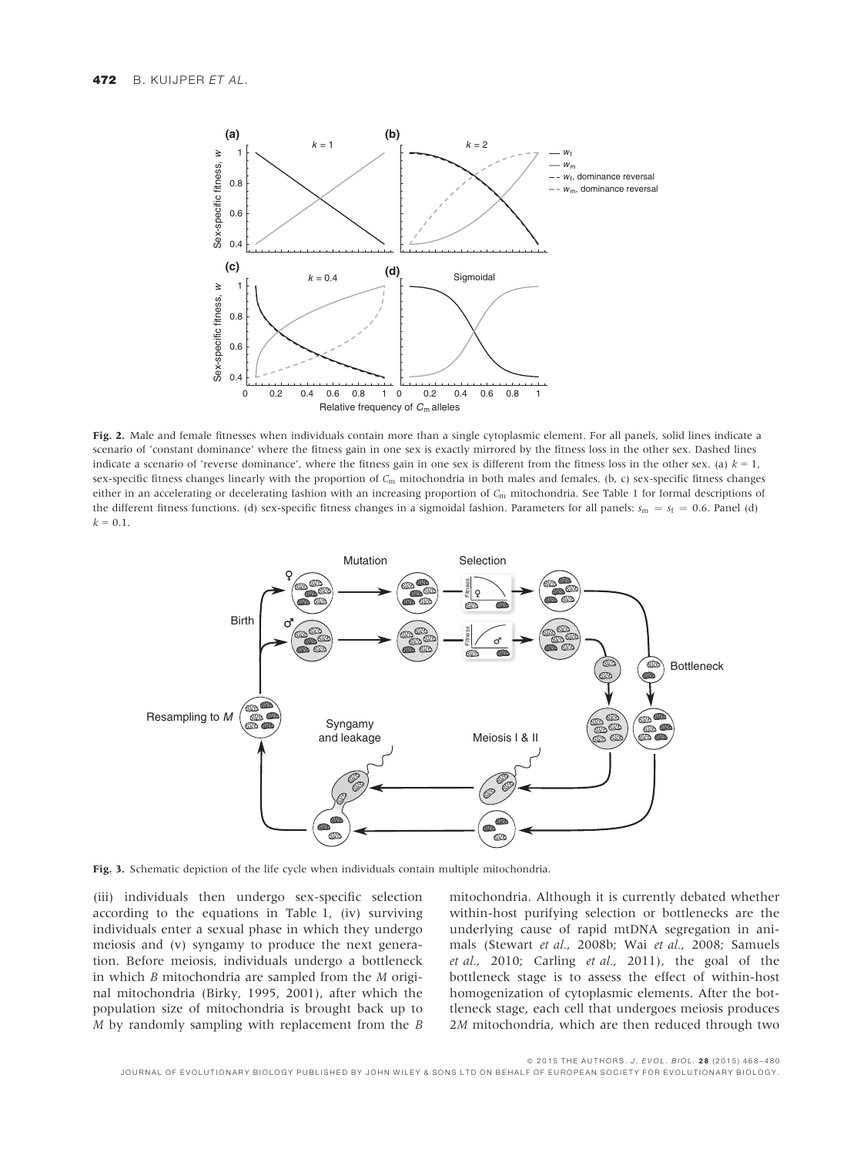

Fig. 2. Male and female fitnesses when individuals contain more than a single cytoplasmic element. For all panels, solid lines indicate a scenario of 'constant dominance' where the fitness gain in one sex is exactly mirrored by the fitness loss in the other sex. Dashed lines indicate a scenario of 'reverse dominance', where the fitness gain in one sex is different from the fitness loss in the other sex. (a)  $k = 1$ , sex-specific fitness changes linearly with the proportion of  $C_m$  mitochondria in both males and females. (b, c) sex-specific fitness changes either in an accelerating or decelerating fashion with an increasing proportion of  $C<sub>m</sub>$  mitochondria. See Table 1 for formal descriptions of the different fitness functions. (d) sex-specific fitness changes in a sigmoidal fashion. Parameters for all panels:  $s_m = s_f = 0.6$ . Panel (d)  $k = 0.1$ .



Fig. 3. Schematic depiction of the life cycle when individuals contain multiple mitochondria.

(iii) individuals then undergo sex-specific selection according to the equations in Table 1, (iv) surviving individuals enter a sexual phase in which they undergo meiosis and (v) syngamy to produce the next generation. Before meiosis, individuals undergo a bottleneck in which B mitochondria are sampled from the M original mitochondria (Birky, 1995, 2001), after which the population size of mitochondria is brought back up to M by randomly sampling with replacement from the B

mitochondria. Although it is currently debated whether within-host purifying selection or bottlenecks are the underlying cause of rapid mtDNA segregation in animals (Stewart et al., 2008b; Wai et al., 2008; Samuels et al., 2010; Carling et al., 2011), the goal of the bottleneck stage is to assess the effect of within-host homogenization of cytoplasmic elements. After the bottleneck stage, each cell that undergoes meiosis produces 2M mitochondria, which are then reduced through two

ª 2015 THE AUTHORS. J. EVOL. BIOL. 2 8 (2015) 468–480

JOURNAL OF EVOLUTIONARY BIOLOGY PUBLISHED BY JOHN WILEY & SONS LTD ON BEHALF OF EUROPEAN SOCIETY FOR EVOLUTIONARY BIOLOGY.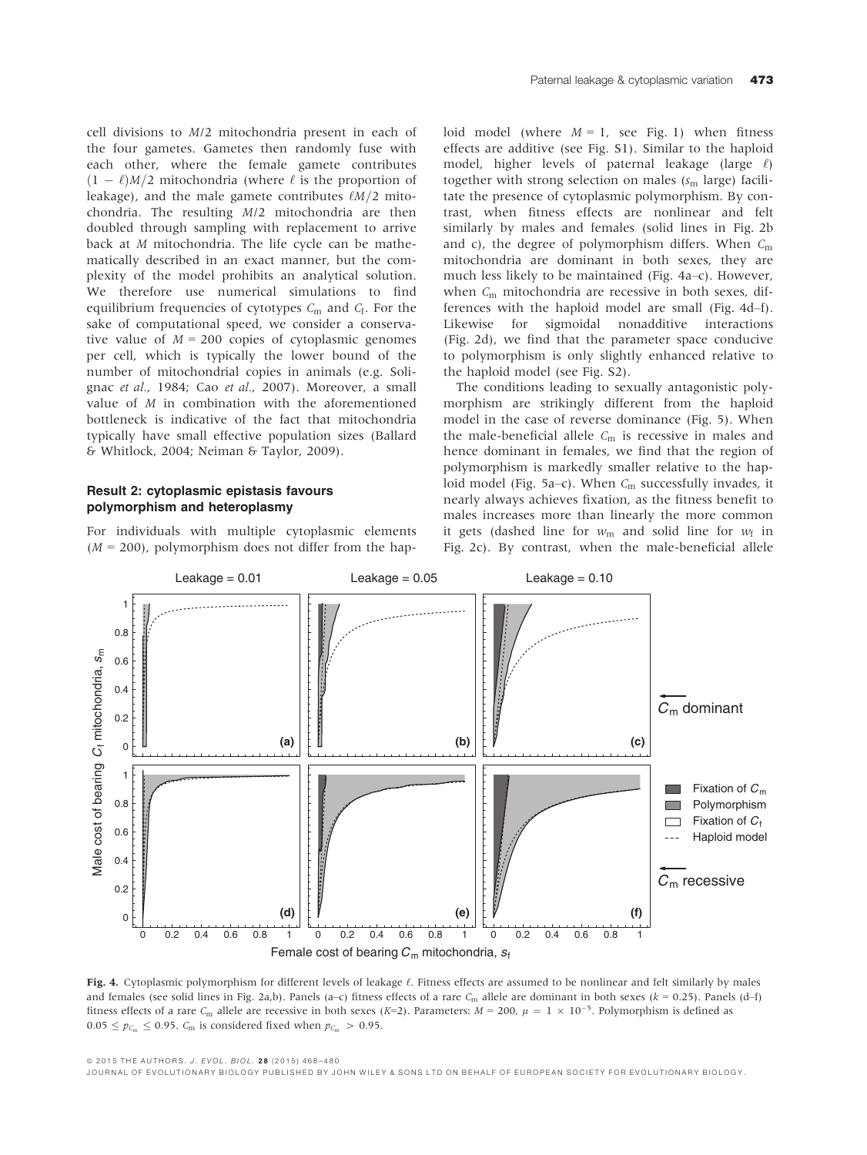cell divisions to M/2 mitochondria present in each of the four gametes. Gametes then randomly fuse with each other, where the female gamete contributes  $(1 - \ell)M/2$  mitochondria (where  $\ell$  is the proportion of leakage), and the male gamete contributes  $\ell M/2$  mitochondria. The resulting M/2 mitochondria are then doubled through sampling with replacement to arrive back at M mitochondria. The life cycle can be mathematically described in an exact manner, but the complexity of the model prohibits an analytical solution. We therefore use numerical simulations to find equilibrium frequencies of cytotypes  $C<sub>m</sub>$  and  $C<sub>f</sub>$ . For the sake of computational speed, we consider a conservative value of  $M = 200$  copies of cytoplasmic genomes per cell, which is typically the lower bound of the number of mitochondrial copies in animals (e.g. Solignac et al., 1984; Cao et al., 2007). Moreover, a small value of M in combination with the aforementioned bottleneck is indicative of the fact that mitochondria typically have small effective population sizes (Ballard & Whitlock, 2004; Neiman & Taylor, 2009).

#### Result 2: cytoplasmic epistasis favours polymorphism and heteroplasmy

For individuals with multiple cytoplasmic elements  $(M = 200)$ , polymorphism does not differ from the haploid model (where  $M = 1$ , see Fig. 1) when fitness effects are additive (see Fig. S1). Similar to the haploid model, higher levels of paternal leakage (large  $\ell$ ) together with strong selection on males ( $s<sub>m</sub>$  large) facilitate the presence of cytoplasmic polymorphism. By contrast, when fitness effects are nonlinear and felt similarly by males and females (solid lines in Fig. 2b and c), the degree of polymorphism differs. When  $C_m$ mitochondria are dominant in both sexes, they are much less likely to be maintained (Fig. 4a–c). However, when  $C_m$  mitochondria are recessive in both sexes, differences with the haploid model are small (Fig. 4d–f). Likewise for sigmoidal nonadditive interactions (Fig. 2d), we find that the parameter space conducive to polymorphism is only slightly enhanced relative to the haploid model (see Fig. S2).

The conditions leading to sexually antagonistic polymorphism are strikingly different from the haploid model in the case of reverse dominance (Fig. 5). When the male-beneficial allele  $C<sub>m</sub>$  is recessive in males and hence dominant in females, we find that the region of polymorphism is markedly smaller relative to the haploid model (Fig. 5a–c). When  $C_m$  successfully invades, it nearly always achieves fixation, as the fitness benefit to males increases more than linearly the more common it gets (dashed line for  $w_m$  and solid line for  $w_f$  in Fig. 2c). By contrast, when the male-beneficial allele



Fig. 4. Cytoplasmic polymorphism for different levels of leakage  $\ell$ . Fitness effects are assumed to be nonlinear and felt similarly by males and females (see solid lines in Fig. 2a,b). Panels (a–c) fitness effects of a rare  $C_m$  allele are dominant in both sexes ( $k = 0.25$ ). Panels (d–f) fitness effects of a rare C<sub>m</sub> allele are recessive in both sexes (K=2). Parameters:  $M = 200$ ,  $\mu = 1 \times 10^{-5}$ . Polymorphism is defined as  $0.05 \leq p_{C_m} \leq 0.95$ .  $C_m$  is considered fixed when  $p_{C_m} > 0.95$ .

ª 2015 THE AUTHORS. J. EVOL. BIOL. 2 8 (2015) 468–480

JOURNAL OF EVOLUTIONARY BIOLOGY PUBLISHED BY JOHN WILEY & SONS LTD ON BEHALF OF EUROPEAN SOCIETY FOR EVOLUTIONARY BIOLOGY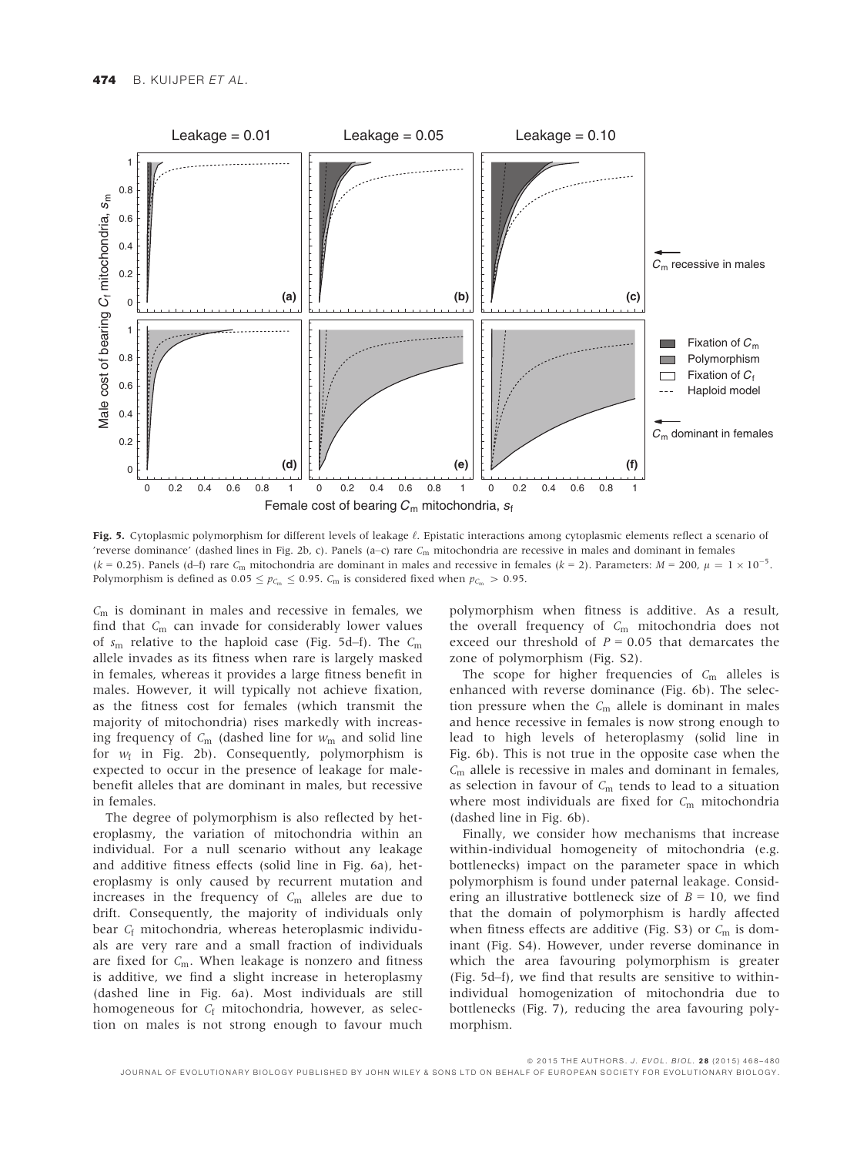

Fig. 5. Cytoplasmic polymorphism for different levels of leakage  $\ell$ . Epistatic interactions among cytoplasmic elements reflect a scenario of 'reverse dominance' (dashed lines in Fig. 2b, c). Panels (a–c) rare  $C_m$  mitochondria are recessive in males and dominant in females (k = 0.25). Panels (d–f) rare  $C_m$  mitochondria are dominant in males and recessive in females (k = 2). Parameters:  $M = 200$ ,  $\mu = 1 \times 10^{-5}$ . Polymorphism is defined as  $0.05 \le p_{C_m} \le 0.95$ .  $C_m$  is considered fixed when  $p_{C_m} > 0.95$ .

 $C<sub>m</sub>$  is dominant in males and recessive in females, we find that  $C_m$  can invade for considerably lower values of  $s_m$  relative to the haploid case (Fig. 5d–f). The  $C_m$ allele invades as its fitness when rare is largely masked in females, whereas it provides a large fitness benefit in males. However, it will typically not achieve fixation, as the fitness cost for females (which transmit the majority of mitochondria) rises markedly with increasing frequency of  $C_m$  (dashed line for  $w_m$  and solid line for  $w_f$  in Fig. 2b). Consequently, polymorphism is expected to occur in the presence of leakage for malebenefit alleles that are dominant in males, but recessive in females.

The degree of polymorphism is also reflected by heteroplasmy, the variation of mitochondria within an individual. For a null scenario without any leakage and additive fitness effects (solid line in Fig. 6a), heteroplasmy is only caused by recurrent mutation and increases in the frequency of  $C_m$  alleles are due to drift. Consequently, the majority of individuals only bear C<sub>f</sub> mitochondria, whereas heteroplasmic individuals are very rare and a small fraction of individuals are fixed for  $C_m$ . When leakage is nonzero and fitness is additive, we find a slight increase in heteroplasmy (dashed line in Fig. 6a). Most individuals are still homogeneous for  $C_f$  mitochondria, however, as selection on males is not strong enough to favour much

polymorphism when fitness is additive. As a result, the overall frequency of  $C_m$  mitochondria does not exceed our threshold of  $P = 0.05$  that demarcates the zone of polymorphism (Fig. S2).

The scope for higher frequencies of  $C_m$  alleles is enhanced with reverse dominance (Fig. 6b). The selection pressure when the  $C_m$  allele is dominant in males and hence recessive in females is now strong enough to lead to high levels of heteroplasmy (solid line in Fig. 6b). This is not true in the opposite case when the  $C<sub>m</sub>$  allele is recessive in males and dominant in females, as selection in favour of  $C_m$  tends to lead to a situation where most individuals are fixed for  $C_m$  mitochondria (dashed line in Fig. 6b).

Finally, we consider how mechanisms that increase within-individual homogeneity of mitochondria (e.g. bottlenecks) impact on the parameter space in which polymorphism is found under paternal leakage. Considering an illustrative bottleneck size of  $B = 10$ , we find that the domain of polymorphism is hardly affected when fitness effects are additive (Fig. S3) or  $C_m$  is dominant (Fig. S4). However, under reverse dominance in which the area favouring polymorphism is greater (Fig. 5d–f), we find that results are sensitive to withinindividual homogenization of mitochondria due to bottlenecks (Fig. 7), reducing the area favouring polymorphism.

ª 2015 THE AUTHORS. J. EVOL. BIOL. 2 8 (2015) 468–480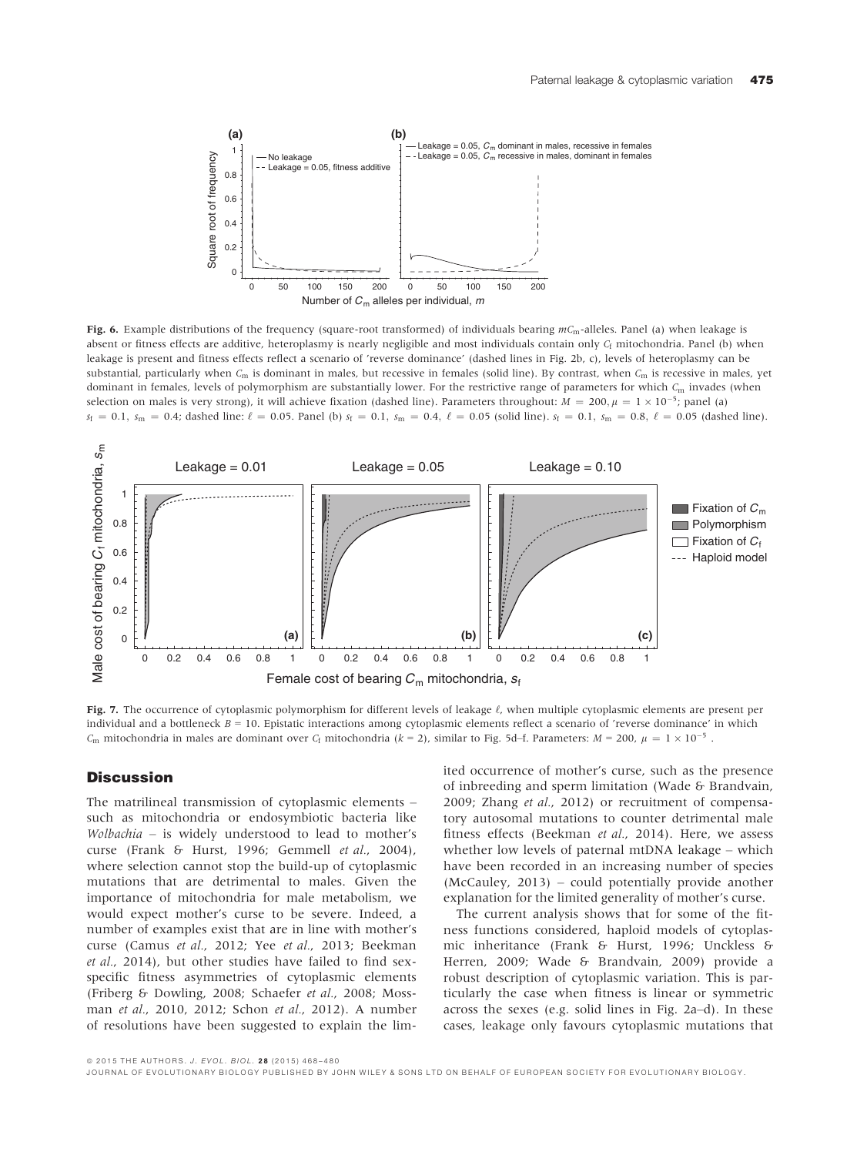

Fig. 6. Example distributions of the frequency (square-root transformed) of individuals bearing  $mC_m$ -alleles. Panel (a) when leakage is absent or fitness effects are additive, heteroplasmy is nearly negligible and most individuals contain only  $C_f$  mitochondria. Panel (b) when leakage is present and fitness effects reflect a scenario of 'reverse dominance' (dashed lines in Fig. 2b, c), levels of heteroplasmy can be substantial, particularly when  $C_m$  is dominant in males, but recessive in females (solid line). By contrast, when  $C_m$  is recessive in males, yet dominant in females, levels of polymorphism are substantially lower. For the restrictive range of parameters for which  $C<sub>m</sub>$  invades (when selection on males is very strong), it will achieve fixation (dashed line). Parameters throughout:  $M = 200, \mu = 1 \times 10^{-5}$ ; panel (a)  $s_f = 0.1$ ,  $s_m = 0.4$ ; dashed line:  $\ell = 0.05$ . Panel (b)  $s_f = 0.1$ ,  $s_m = 0.4$ ,  $\ell = 0.05$  (solid line).  $s_f = 0.1$ ,  $s_m = 0.8$ ,  $\ell = 0.05$  (dashed line).



Fig. 7. The occurrence of cytoplasmic polymorphism for different levels of leakage  $\ell$ , when multiple cytoplasmic elements are present per individual and a bottleneck  $B = 10$ . Epistatic interactions among cytoplasmic elements reflect a scenario of 'reverse dominance' in which  $C_m$  mitochondria in males are dominant over  $C_f$  mitochondria (k = 2), similar to Fig. 5d–f. Parameters:  $M = 200$ ,  $\mu = 1 \times 10^{-5}$ .

#### **Discussion**

The matrilineal transmission of cytoplasmic elements – such as mitochondria or endosymbiotic bacteria like Wolbachia – is widely understood to lead to mother's curse (Frank & Hurst, 1996; Gemmell et al., 2004), where selection cannot stop the build-up of cytoplasmic mutations that are detrimental to males. Given the importance of mitochondria for male metabolism, we would expect mother's curse to be severe. Indeed, a number of examples exist that are in line with mother's curse (Camus et al., 2012; Yee et al., 2013; Beekman et al., 2014), but other studies have failed to find sexspecific fitness asymmetries of cytoplasmic elements (Friberg & Dowling, 2008; Schaefer et al., 2008; Mossman et al., 2010, 2012; Schon et al., 2012). A number of resolutions have been suggested to explain the limited occurrence of mother's curse, such as the presence of inbreeding and sperm limitation (Wade & Brandvain, 2009; Zhang et al., 2012) or recruitment of compensatory autosomal mutations to counter detrimental male fitness effects (Beekman et al., 2014). Here, we assess whether low levels of paternal mtDNA leakage – which have been recorded in an increasing number of species (McCauley, 2013) – could potentially provide another explanation for the limited generality of mother's curse.

The current analysis shows that for some of the fitness functions considered, haploid models of cytoplasmic inheritance (Frank & Hurst, 1996; Unckless & Herren, 2009; Wade & Brandvain, 2009) provide a robust description of cytoplasmic variation. This is particularly the case when fitness is linear or symmetric across the sexes (e.g. solid lines in Fig. 2a–d). In these cases, leakage only favours cytoplasmic mutations that

ª 2015 THE AUTHORS. J. EVOL. BIOL. 2 8 (2015) 468–480

JOURNAL OF EVOLUTIONARY BIOLOGY PUBLISHED BY JOHN WILEY & SONS LTD ON BEHALF OF EUROPEAN SOCIETY FOR EVOLUTIONARY BIOLOGY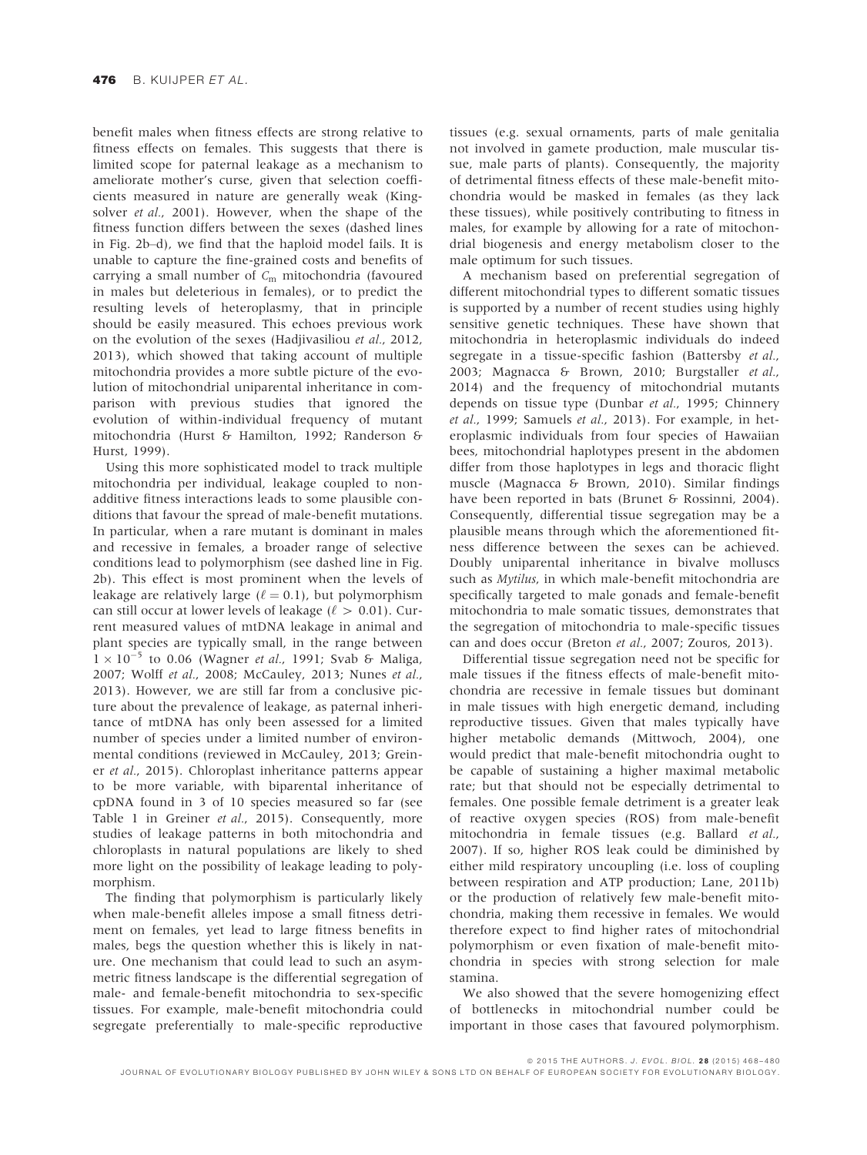benefit males when fitness effects are strong relative to fitness effects on females. This suggests that there is limited scope for paternal leakage as a mechanism to ameliorate mother's curse, given that selection coefficients measured in nature are generally weak (Kingsolver *et al.*, 2001). However, when the shape of the fitness function differs between the sexes (dashed lines in Fig. 2b–d), we find that the haploid model fails. It is unable to capture the fine-grained costs and benefits of carrying a small number of  $C_m$  mitochondria (favoured in males but deleterious in females), or to predict the resulting levels of heteroplasmy, that in principle should be easily measured. This echoes previous work on the evolution of the sexes (Hadjivasiliou et al., 2012, 2013), which showed that taking account of multiple mitochondria provides a more subtle picture of the evolution of mitochondrial uniparental inheritance in comparison with previous studies that ignored the evolution of within-individual frequency of mutant mitochondria (Hurst & Hamilton, 1992; Randerson & Hurst, 1999).

Using this more sophisticated model to track multiple mitochondria per individual, leakage coupled to nonadditive fitness interactions leads to some plausible conditions that favour the spread of male-benefit mutations. In particular, when a rare mutant is dominant in males and recessive in females, a broader range of selective conditions lead to polymorphism (see dashed line in Fig. 2b). This effect is most prominent when the levels of leakage are relatively large ( $\ell = 0.1$ ), but polymorphism can still occur at lower levels of leakage ( $\ell > 0.01$ ). Current measured values of mtDNA leakage in animal and plant species are typically small, in the range between  $1 \times 10^{-5}$  to 0.06 (Wagner *et al.*, 1991; Svab & Maliga, 2007; Wolff et al., 2008; McCauley, 2013; Nunes et al., 2013). However, we are still far from a conclusive picture about the prevalence of leakage, as paternal inheritance of mtDNA has only been assessed for a limited number of species under a limited number of environmental conditions (reviewed in McCauley, 2013; Greiner et al., 2015). Chloroplast inheritance patterns appear to be more variable, with biparental inheritance of cpDNA found in 3 of 10 species measured so far (see Table 1 in Greiner et al., 2015). Consequently, more studies of leakage patterns in both mitochondria and chloroplasts in natural populations are likely to shed more light on the possibility of leakage leading to polymorphism.

The finding that polymorphism is particularly likely when male-benefit alleles impose a small fitness detriment on females, yet lead to large fitness benefits in males, begs the question whether this is likely in nature. One mechanism that could lead to such an asymmetric fitness landscape is the differential segregation of male- and female-benefit mitochondria to sex-specific tissues. For example, male-benefit mitochondria could segregate preferentially to male-specific reproductive

tissues (e.g. sexual ornaments, parts of male genitalia not involved in gamete production, male muscular tissue, male parts of plants). Consequently, the majority of detrimental fitness effects of these male-benefit mitochondria would be masked in females (as they lack these tissues), while positively contributing to fitness in males, for example by allowing for a rate of mitochondrial biogenesis and energy metabolism closer to the male optimum for such tissues.

A mechanism based on preferential segregation of different mitochondrial types to different somatic tissues is supported by a number of recent studies using highly sensitive genetic techniques. These have shown that mitochondria in heteroplasmic individuals do indeed segregate in a tissue-specific fashion (Battersby et al., 2003; Magnacca & Brown, 2010; Burgstaller et al., 2014) and the frequency of mitochondrial mutants depends on tissue type (Dunbar et al., 1995; Chinnery et al., 1999; Samuels et al., 2013). For example, in heteroplasmic individuals from four species of Hawaiian bees, mitochondrial haplotypes present in the abdomen differ from those haplotypes in legs and thoracic flight muscle (Magnacca & Brown, 2010). Similar findings have been reported in bats (Brunet & Rossinni, 2004). Consequently, differential tissue segregation may be a plausible means through which the aforementioned fitness difference between the sexes can be achieved. Doubly uniparental inheritance in bivalve molluscs such as Mytilus, in which male-benefit mitochondria are specifically targeted to male gonads and female-benefit mitochondria to male somatic tissues, demonstrates that the segregation of mitochondria to male-specific tissues can and does occur (Breton et al., 2007; Zouros, 2013).

Differential tissue segregation need not be specific for male tissues if the fitness effects of male-benefit mitochondria are recessive in female tissues but dominant in male tissues with high energetic demand, including reproductive tissues. Given that males typically have higher metabolic demands (Mittwoch, 2004), one would predict that male-benefit mitochondria ought to be capable of sustaining a higher maximal metabolic rate; but that should not be especially detrimental to females. One possible female detriment is a greater leak of reactive oxygen species (ROS) from male-benefit mitochondria in female tissues (e.g. Ballard et al., 2007). If so, higher ROS leak could be diminished by either mild respiratory uncoupling (i.e. loss of coupling between respiration and ATP production; Lane, 2011b) or the production of relatively few male-benefit mitochondria, making them recessive in females. We would therefore expect to find higher rates of mitochondrial polymorphism or even fixation of male-benefit mitochondria in species with strong selection for male stamina.

We also showed that the severe homogenizing effect of bottlenecks in mitochondrial number could be important in those cases that favoured polymorphism.

ª 2015 THE AUTHORS. J. EVOL. BIOL. 2 8 (2015) 468–480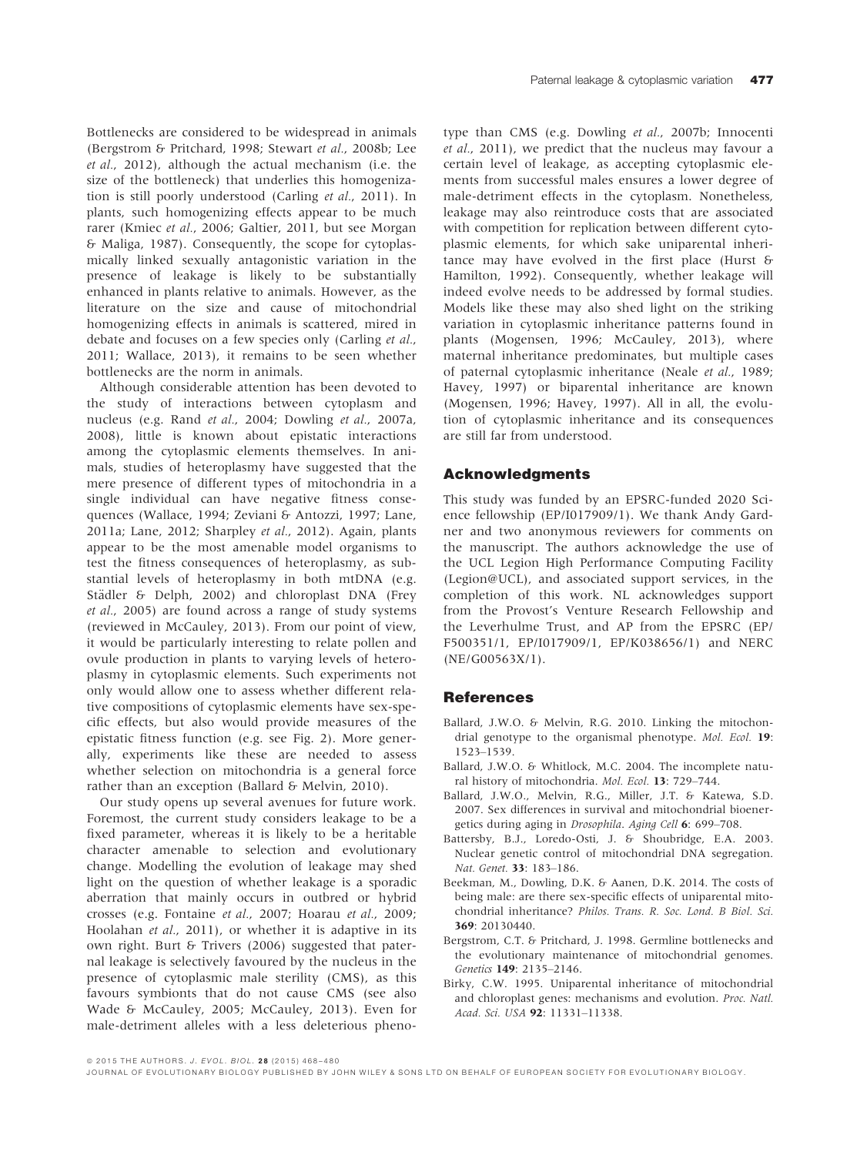Bottlenecks are considered to be widespread in animals (Bergstrom & Pritchard, 1998; Stewart et al., 2008b; Lee et al., 2012), although the actual mechanism (i.e. the size of the bottleneck) that underlies this homogenization is still poorly understood (Carling et al., 2011). In plants, such homogenizing effects appear to be much rarer (Kmiec et al., 2006; Galtier, 2011, but see Morgan & Maliga, 1987). Consequently, the scope for cytoplasmically linked sexually antagonistic variation in the presence of leakage is likely to be substantially enhanced in plants relative to animals. However, as the literature on the size and cause of mitochondrial homogenizing effects in animals is scattered, mired in debate and focuses on a few species only (Carling et al.,

2011; Wallace, 2013), it remains to be seen whether

bottlenecks are the norm in animals. Although considerable attention has been devoted to the study of interactions between cytoplasm and nucleus (e.g. Rand et al., 2004; Dowling et al., 2007a, 2008), little is known about epistatic interactions among the cytoplasmic elements themselves. In animals, studies of heteroplasmy have suggested that the mere presence of different types of mitochondria in a single individual can have negative fitness consequences (Wallace, 1994; Zeviani & Antozzi, 1997; Lane, 2011a; Lane, 2012; Sharpley et al., 2012). Again, plants appear to be the most amenable model organisms to test the fitness consequences of heteroplasmy, as substantial levels of heteroplasmy in both mtDNA (e.g. Städler & Delph, 2002) and chloroplast DNA (Frey et al., 2005) are found across a range of study systems (reviewed in McCauley, 2013). From our point of view, it would be particularly interesting to relate pollen and ovule production in plants to varying levels of heteroplasmy in cytoplasmic elements. Such experiments not only would allow one to assess whether different relative compositions of cytoplasmic elements have sex-specific effects, but also would provide measures of the epistatic fitness function (e.g. see Fig. 2). More generally, experiments like these are needed to assess whether selection on mitochondria is a general force rather than an exception (Ballard & Melvin, 2010).

Our study opens up several avenues for future work. Foremost, the current study considers leakage to be a fixed parameter, whereas it is likely to be a heritable character amenable to selection and evolutionary change. Modelling the evolution of leakage may shed light on the question of whether leakage is a sporadic aberration that mainly occurs in outbred or hybrid crosses (e.g. Fontaine et al., 2007; Hoarau et al., 2009; Hoolahan et al., 2011), or whether it is adaptive in its own right. Burt & Trivers (2006) suggested that paternal leakage is selectively favoured by the nucleus in the presence of cytoplasmic male sterility (CMS), as this favours symbionts that do not cause CMS (see also Wade & McCauley, 2005; McCauley, 2013). Even for male-detriment alleles with a less deleterious phenotype than CMS (e.g. Dowling et al., 2007b; Innocenti et al., 2011), we predict that the nucleus may favour a certain level of leakage, as accepting cytoplasmic elements from successful males ensures a lower degree of male-detriment effects in the cytoplasm. Nonetheless, leakage may also reintroduce costs that are associated with competition for replication between different cytoplasmic elements, for which sake uniparental inheritance may have evolved in the first place (Hurst & Hamilton, 1992). Consequently, whether leakage will indeed evolve needs to be addressed by formal studies. Models like these may also shed light on the striking variation in cytoplasmic inheritance patterns found in plants (Mogensen, 1996; McCauley, 2013), where maternal inheritance predominates, but multiple cases of paternal cytoplasmic inheritance (Neale et al., 1989; Havey, 1997) or biparental inheritance are known (Mogensen, 1996; Havey, 1997). All in all, the evolution of cytoplasmic inheritance and its consequences are still far from understood.

#### Acknowledgments

This study was funded by an EPSRC-funded 2020 Science fellowship (EP/I017909/1). We thank Andy Gardner and two anonymous reviewers for comments on the manuscript. The authors acknowledge the use of the UCL Legion High Performance Computing Facility (Legion@UCL), and associated support services, in the completion of this work. NL acknowledges support from the Provost's Venture Research Fellowship and the Leverhulme Trust, and AP from the EPSRC (EP/ F500351/1, EP/I017909/1, EP/K038656/1) and NERC (NE/G00563X/1).

#### **References**

- Ballard, J.W.O. & Melvin, R.G. 2010. Linking the mitochondrial genotype to the organismal phenotype. Mol. Ecol. 19: 1523–1539.
- Ballard, J.W.O. & Whitlock, M.C. 2004. The incomplete natural history of mitochondria. Mol. Ecol. 13: 729–744.
- Ballard, J.W.O., Melvin, R.G., Miller, J.T. & Katewa, S.D. 2007. Sex differences in survival and mitochondrial bioenergetics during aging in Drosophila. Aging Cell 6: 699–708.
- Battersby, B.J., Loredo-Osti, J. & Shoubridge, E.A. 2003. Nuclear genetic control of mitochondrial DNA segregation. Nat. Genet. 33: 183–186.
- Beekman, M., Dowling, D.K. & Aanen, D.K. 2014. The costs of being male: are there sex-specific effects of uniparental mitochondrial inheritance? Philos. Trans. R. Soc. Lond. B Biol. Sci.
- 369: 20130440. Bergstrom, C.T. & Pritchard, J. 1998. Germline bottlenecks and the evolutionary maintenance of mitochondrial genomes. Genetics 149: 2135–2146.
- Birky, C.W. 1995. Uniparental inheritance of mitochondrial and chloroplast genes: mechanisms and evolution. Proc. Natl. Acad. Sci. USA 92: 11331–11338.

ª 2015 THE AUTHORS. J. EVOL. BIOL. 2 8 (2015) 468–480

JOURNAL OF EVOLUTIONARY BIOLOGY PUBLISHED BY JOHN WILEY & SONS L TD ON BEHALF OF EUROPEAN SOCIETY FOR EVOLUTIONARY BIOLOGY.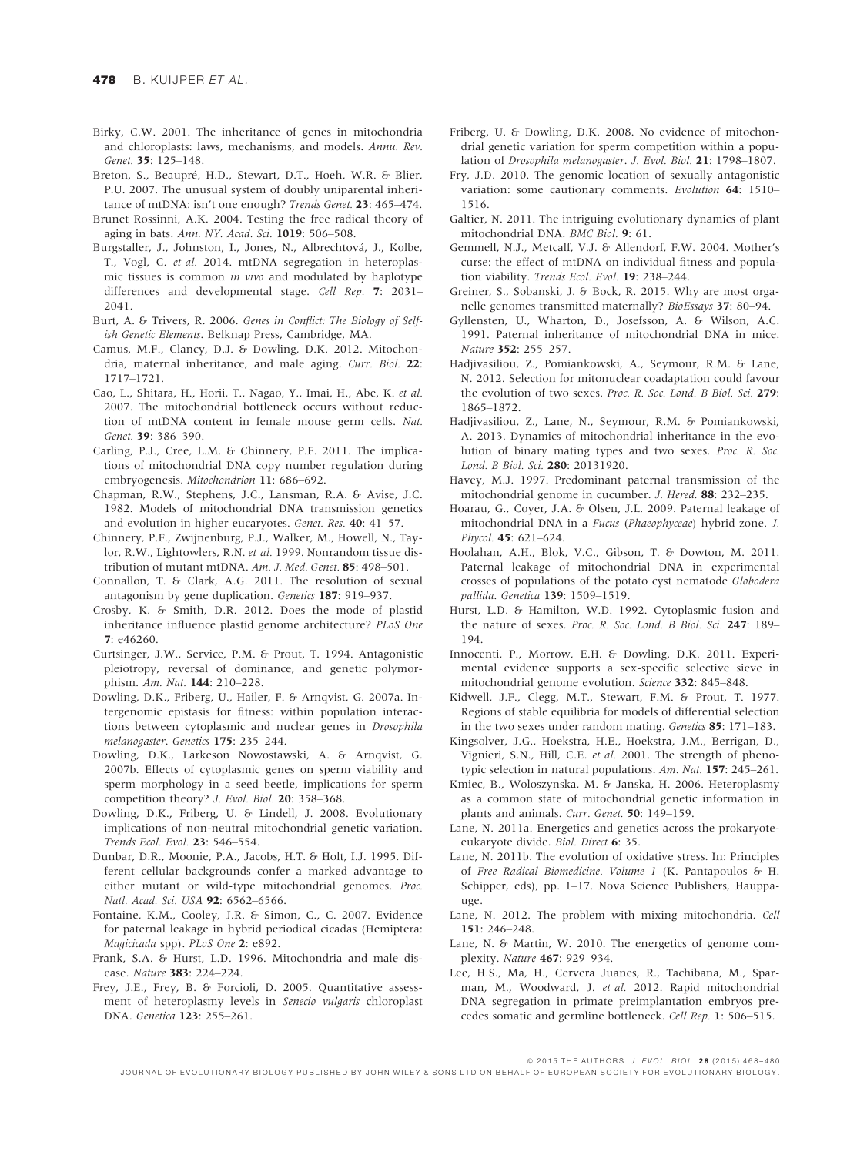- Birky, C.W. 2001. The inheritance of genes in mitochondria and chloroplasts: laws, mechanisms, and models. Annu. Rev. Genet. 35: 125–148.
- Breton, S., Beaupré, H.D., Stewart, D.T., Hoeh, W.R. & Blier, P.U. 2007. The unusual system of doubly uniparental inheritance of mtDNA: isn't one enough? Trends Genet. 23: 465–474.
- Brunet Rossinni, A.K. 2004. Testing the free radical theory of aging in bats. Ann. NY. Acad. Sci. 1019: 506–508.
- Burgstaller, J., Johnston, I., Jones, N., Albrechtová, J., Kolbe, T., Vogl, C. et al. 2014. mtDNA segregation in heteroplasmic tissues is common in vivo and modulated by haplotype differences and developmental stage. Cell Rep. 7: 2031– 2041.
- Burt, A. & Trivers, R. 2006. Genes in Conflict: The Biology of Selfish Genetic Elements. Belknap Press, Cambridge, MA.
- Camus, M.F., Clancy, D.J. & Dowling, D.K. 2012. Mitochondria, maternal inheritance, and male aging. Curr. Biol. 22: 1717–1721.
- Cao, L., Shitara, H., Horii, T., Nagao, Y., Imai, H., Abe, K. et al. 2007. The mitochondrial bottleneck occurs without reduction of mtDNA content in female mouse germ cells. Nat. Genet. 39: 386–390.
- Carling, P.J., Cree, L.M. & Chinnery, P.F. 2011. The implications of mitochondrial DNA copy number regulation during embryogenesis. Mitochondrion 11: 686–692.
- Chapman, R.W., Stephens, J.C., Lansman, R.A. & Avise, J.C. 1982. Models of mitochondrial DNA transmission genetics and evolution in higher eucaryotes. Genet. Res. 40: 41–57.
- Chinnery, P.F., Zwijnenburg, P.J., Walker, M., Howell, N., Taylor, R.W., Lightowlers, R.N. et al. 1999. Nonrandom tissue distribution of mutant mtDNA. Am. J. Med. Genet. 85: 498–501.
- Connallon, T. & Clark, A.G. 2011. The resolution of sexual antagonism by gene duplication. Genetics 187: 919–937.
- Crosby, K. & Smith, D.R. 2012. Does the mode of plastid inheritance influence plastid genome architecture? PLoS One 7: e46260.
- Curtsinger, J.W., Service, P.M. & Prout, T. 1994. Antagonistic pleiotropy, reversal of dominance, and genetic polymorphism. Am. Nat. 144: 210–228.
- Dowling, D.K., Friberg, U., Hailer, F. & Arnqvist, G. 2007a. Intergenomic epistasis for fitness: within population interactions between cytoplasmic and nuclear genes in Drosophila melanogaster. Genetics 175: 235–244.
- Dowling, D.K., Larkeson Nowostawski, A. & Arnqvist, G. 2007b. Effects of cytoplasmic genes on sperm viability and sperm morphology in a seed beetle, implications for sperm competition theory? J. Evol. Biol. 20: 358–368.
- Dowling, D.K., Friberg, U. & Lindell, J. 2008. Evolutionary implications of non-neutral mitochondrial genetic variation. Trends Ecol. Evol. 23: 546–554.
- Dunbar, D.R., Moonie, P.A., Jacobs, H.T. & Holt, I.J. 1995. Different cellular backgrounds confer a marked advantage to either mutant or wild-type mitochondrial genomes. Proc. Natl. Acad. Sci. USA 92: 6562–6566.
- Fontaine, K.M., Cooley, J.R. & Simon, C., C. 2007. Evidence for paternal leakage in hybrid periodical cicadas (Hemiptera: Magicicada spp). PLoS One 2: e892.
- Frank, S.A. & Hurst, L.D. 1996. Mitochondria and male disease. Nature 383: 224–224.
- Frey, J.E., Frey, B. & Forcioli, D. 2005. Quantitative assessment of heteroplasmy levels in Senecio vulgaris chloroplast DNA. Genetica 123: 255–261.
- Friberg, U. & Dowling, D.K. 2008. No evidence of mitochondrial genetic variation for sperm competition within a population of Drosophila melanogaster. J. Evol. Biol. 21: 1798–1807.
- Fry, J.D. 2010. The genomic location of sexually antagonistic variation: some cautionary comments. Evolution 64: 1510-1516.
- Galtier, N. 2011. The intriguing evolutionary dynamics of plant mitochondrial DNA. BMC Biol. 9: 61.
- Gemmell, N.J., Metcalf, V.J. & Allendorf, F.W. 2004. Mother's curse: the effect of mtDNA on individual fitness and population viability. Trends Ecol. Evol. 19: 238–244.
- Greiner, S., Sobanski, J. & Bock, R. 2015. Why are most organelle genomes transmitted maternally? BioEssays 37: 80–94.
- Gyllensten, U., Wharton, D., Josefsson, A. & Wilson, A.C. 1991. Paternal inheritance of mitochondrial DNA in mice. Nature 352: 255–257.
- Hadjivasiliou, Z., Pomiankowski, A., Seymour, R.M. & Lane, N. 2012. Selection for mitonuclear coadaptation could favour the evolution of two sexes. Proc. R. Soc. Lond. B Biol. Sci. 279: 1865–1872.
- Hadjivasiliou, Z., Lane, N., Seymour, R.M. & Pomiankowski, A. 2013. Dynamics of mitochondrial inheritance in the evolution of binary mating types and two sexes. Proc. R. Soc. Lond. B Biol. Sci. 280: 20131920.
- Havey, M.J. 1997. Predominant paternal transmission of the mitochondrial genome in cucumber. J. Hered. 88: 232–235.
- Hoarau, G., Coyer, J.A. & Olsen, J.L. 2009. Paternal leakage of mitochondrial DNA in a Fucus (Phaeophyceae) hybrid zone. J. Phycol. 45: 621–624.
- Hoolahan, A.H., Blok, V.C., Gibson, T. & Dowton, M. 2011. Paternal leakage of mitochondrial DNA in experimental crosses of populations of the potato cyst nematode Globodera pallida. Genetica 139: 1509–1519.
- Hurst, L.D. & Hamilton, W.D. 1992. Cytoplasmic fusion and the nature of sexes. Proc. R. Soc. Lond. B Biol. Sci. 247: 189– 194.
- Innocenti, P., Morrow, E.H. & Dowling, D.K. 2011. Experimental evidence supports a sex-specific selective sieve in mitochondrial genome evolution. Science 332: 845–848.
- Kidwell, J.F., Clegg, M.T., Stewart, F.M. & Prout, T. 1977. Regions of stable equilibria for models of differential selection in the two sexes under random mating. Genetics 85: 171–183.
- Kingsolver, J.G., Hoekstra, H.E., Hoekstra, J.M., Berrigan, D., Vignieri, S.N., Hill, C.E. et al. 2001. The strength of phenotypic selection in natural populations. Am. Nat. 157: 245–261.
- Kmiec, B., Woloszynska, M. & Janska, H. 2006. Heteroplasmy as a common state of mitochondrial genetic information in plants and animals. Curr. Genet. 50: 149–159.
- Lane, N. 2011a. Energetics and genetics across the prokaryoteeukaryote divide. Biol. Direct 6: 35.
- Lane, N. 2011b. The evolution of oxidative stress. In: Principles of Free Radical Biomedicine. Volume 1 (K. Pantapoulos & H. Schipper, eds), pp. 1–17. Nova Science Publishers, Hauppauge.
- Lane, N. 2012. The problem with mixing mitochondria. Cell 151: 246–248.
- Lane, N. & Martin, W. 2010. The energetics of genome complexity. Nature 467: 929–934.
- Lee, H.S., Ma, H., Cervera Juanes, R., Tachibana, M., Sparman, M., Woodward, J. et al. 2012. Rapid mitochondrial DNA segregation in primate preimplantation embryos precedes somatic and germline bottleneck. Cell Rep. 1: 506–515.

ª 2015 THE AUTHORS. J. EVOL. BIOL. 2 8 (2015) 468–480

JOURNAL OF EVOLUTIONARY BIOLOGY PUBLISHED BY JOHN WILEY & SONS LTD ON BEHALF OF EUROPEAN SOCIETY FOR EVOLUTIONARY BIOLOGY.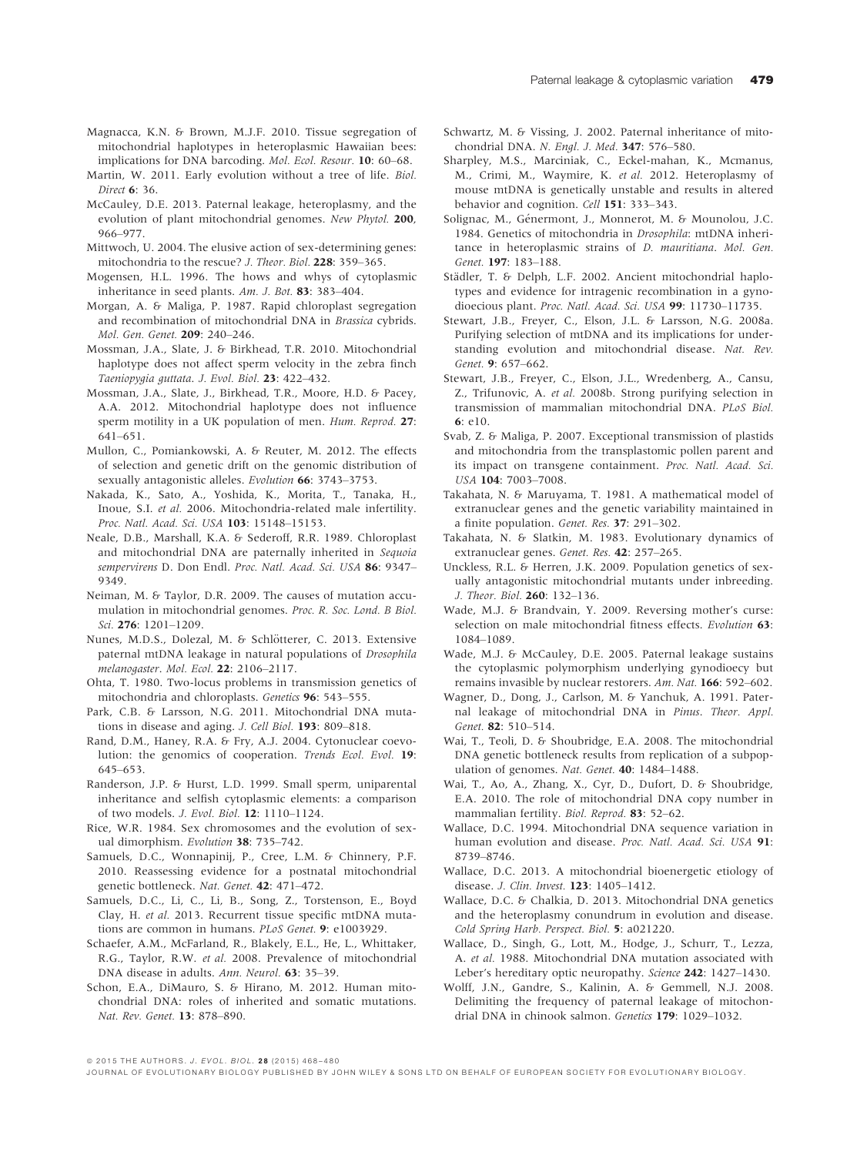- Magnacca, K.N. & Brown, M.J.F. 2010. Tissue segregation of mitochondrial haplotypes in heteroplasmic Hawaiian bees: implications for DNA barcoding. Mol. Ecol. Resour. 10: 60–68.
- Martin, W. 2011. Early evolution without a tree of life. Biol. Direct 6: 36.
- McCauley, D.E. 2013. Paternal leakage, heteroplasmy, and the evolution of plant mitochondrial genomes. New Phytol. 200, 966–977.
- Mittwoch, U. 2004. The elusive action of sex-determining genes: mitochondria to the rescue? J. Theor. Biol. 228: 359–365.
- Mogensen, H.L. 1996. The hows and whys of cytoplasmic inheritance in seed plants. Am. J. Bot. 83: 383–404.
- Morgan, A. & Maliga, P. 1987. Rapid chloroplast segregation and recombination of mitochondrial DNA in Brassica cybrids. Mol. Gen. Genet. 209: 240–246.
- Mossman, J.A., Slate, J. & Birkhead, T.R. 2010. Mitochondrial haplotype does not affect sperm velocity in the zebra finch Taeniopygia guttata. J. Evol. Biol. 23: 422–432.
- Mossman, J.A., Slate, J., Birkhead, T.R., Moore, H.D. & Pacey, A.A. 2012. Mitochondrial haplotype does not influence sperm motility in a UK population of men. Hum. Reprod. 27: 641–651.
- Mullon, C., Pomiankowski, A. & Reuter, M. 2012. The effects of selection and genetic drift on the genomic distribution of sexually antagonistic alleles. Evolution 66: 3743-3753.
- Nakada, K., Sato, A., Yoshida, K., Morita, T., Tanaka, H., Inoue, S.I. et al. 2006. Mitochondria-related male infertility. Proc. Natl. Acad. Sci. USA 103: 15148-15153.
- Neale, D.B., Marshall, K.A. & Sederoff, R.R. 1989. Chloroplast and mitochondrial DNA are paternally inherited in Sequoia sempervirens D. Don Endl. Proc. Natl. Acad. Sci. USA 86: 9347-9349.
- Neiman, M. & Taylor, D.R. 2009. The causes of mutation accumulation in mitochondrial genomes. Proc. R. Soc. Lond. B Biol. Sci. 276: 1201–1209.
- Nunes, M.D.S., Dolezal, M. & Schlötterer, C. 2013. Extensive paternal mtDNA leakage in natural populations of Drosophila melanogaster. Mol. Ecol. 22: 2106–2117.
- Ohta, T. 1980. Two-locus problems in transmission genetics of mitochondria and chloroplasts. Genetics 96: 543–555.
- Park, C.B. & Larsson, N.G. 2011. Mitochondrial DNA mutations in disease and aging. J. Cell Biol. 193: 809–818.
- Rand, D.M., Haney, R.A. & Fry, A.J. 2004. Cytonuclear coevolution: the genomics of cooperation. Trends Ecol. Evol. 19: 645–653.
- Randerson, J.P. & Hurst, L.D. 1999. Small sperm, uniparental inheritance and selfish cytoplasmic elements: a comparison of two models. J. Evol. Biol. 12: 1110–1124.
- Rice, W.R. 1984. Sex chromosomes and the evolution of sexual dimorphism. Evolution 38: 735–742.
- Samuels, D.C., Wonnapinij, P., Cree, L.M. & Chinnery, P.F. 2010. Reassessing evidence for a postnatal mitochondrial genetic bottleneck. Nat. Genet. 42: 471-472.
- Samuels, D.C., Li, C., Li, B., Song, Z., Torstenson, E., Boyd Clay, H. et al. 2013. Recurrent tissue specific mtDNA mutations are common in humans. PLoS Genet. 9: e1003929.
- Schaefer, A.M., McFarland, R., Blakely, E.L., He, L., Whittaker, R.G., Taylor, R.W. et al. 2008. Prevalence of mitochondrial DNA disease in adults. Ann. Neurol. 63: 35-39.
- Schon, E.A., DiMauro, S. & Hirano, M. 2012. Human mitochondrial DNA: roles of inherited and somatic mutations. Nat. Rev. Genet. 13: 878–890.
- Schwartz, M. & Vissing, J. 2002. Paternal inheritance of mitochondrial DNA. N. Engl. J. Med. 347: 576–580.
- Sharpley, M.S., Marciniak, C., Eckel-mahan, K., Mcmanus, M., Crimi, M., Waymire, K. et al. 2012. Heteroplasmy of mouse mtDNA is genetically unstable and results in altered behavior and cognition. Cell 151: 333–343.
- Solignac, M., Genermont, J., Monnerot, M. & Mounolou, J.C. 1984. Genetics of mitochondria in Drosophila: mtDNA inheritance in heteroplasmic strains of D. mauritiana. Mol. Gen. Genet. 197: 183–188.
- Städler, T. & Delph, L.F. 2002. Ancient mitochondrial haplotypes and evidence for intragenic recombination in a gynodioecious plant. Proc. Natl. Acad. Sci. USA 99: 11730-11735.
- Stewart, J.B., Freyer, C., Elson, J.L. & Larsson, N.G. 2008a. Purifying selection of mtDNA and its implications for understanding evolution and mitochondrial disease. Nat. Rev. Genet. 9: 657–662.
- Stewart, J.B., Freyer, C., Elson, J.L., Wredenberg, A., Cansu, Z., Trifunovic, A. et al. 2008b. Strong purifying selection in transmission of mammalian mitochondrial DNA. PLoS Biol. 6: e10.
- Svab, Z. & Maliga, P. 2007. Exceptional transmission of plastids and mitochondria from the transplastomic pollen parent and its impact on transgene containment. Proc. Natl. Acad. Sci. USA 104: 7003–7008.
- Takahata, N. & Maruyama, T. 1981. A mathematical model of extranuclear genes and the genetic variability maintained in a finite population. Genet. Res. 37: 291–302.
- Takahata, N. & Slatkin, M. 1983. Evolutionary dynamics of extranuclear genes. Genet. Res. 42: 257-265.
- Unckless, R.L. & Herren, J.K. 2009. Population genetics of sexually antagonistic mitochondrial mutants under inbreeding. J. Theor. Biol. 260: 132–136.
- Wade, M.J. & Brandvain, Y. 2009. Reversing mother's curse: selection on male mitochondrial fitness effects. Evolution 63: 1084–1089.
- Wade, M.J. & McCauley, D.E. 2005. Paternal leakage sustains the cytoplasmic polymorphism underlying gynodioecy but remains invasible by nuclear restorers. Am. Nat. 166: 592–602.
- Wagner, D., Dong, J., Carlson, M. & Yanchuk, A. 1991. Paternal leakage of mitochondrial DNA in Pinus. Theor. Appl. Genet. 82: 510–514.
- Wai, T., Teoli, D. & Shoubridge, E.A. 2008. The mitochondrial DNA genetic bottleneck results from replication of a subpopulation of genomes. Nat. Genet. 40: 1484–1488.
- Wai, T., Ao, A., Zhang, X., Cyr, D., Dufort, D. & Shoubridge, E.A. 2010. The role of mitochondrial DNA copy number in mammalian fertility. Biol. Reprod. <sup>83</sup>: 52–62.
- Wallace, D.C. 1994. Mitochondrial DNA sequence variation in human evolution and disease. Proc. Natl. Acad. Sci. USA 91: 8739–8746.
- Wallace, D.C. 2013. A mitochondrial bioenergetic etiology of disease. J. Clin. Invest. 123: 1405–1412.
- Wallace, D.C. & Chalkia, D. 2013. Mitochondrial DNA genetics and the heteroplasmy conundrum in evolution and disease. Cold Spring Harb. Perspect. Biol. 5: a021220.
- Wallace, D., Singh, G., Lott, M., Hodge, J., Schurr, T., Lezza, A. et al. 1988. Mitochondrial DNA mutation associated with Leber's hereditary optic neuropathy. Science 242: 1427-1430.
- Wolff, J.N., Gandre, S., Kalinin, A. & Gemmell, N.J. 2008. Delimiting the frequency of paternal leakage of mitochondrial DNA in chinook salmon. Genetics 179: 1029–1032.

ª 2015 THE AUTHORS. J. EVOL. BIOL. 2 8 (2015) 468–480

JOURNAL OF EVOLUTIONARY BIOLOGY PUBLISHED BY JOHN WILEY & SONS LTD ON BEHALF OF EUROPEAN SOCIETY FOR EVOLUTIONARY BIOLOGY